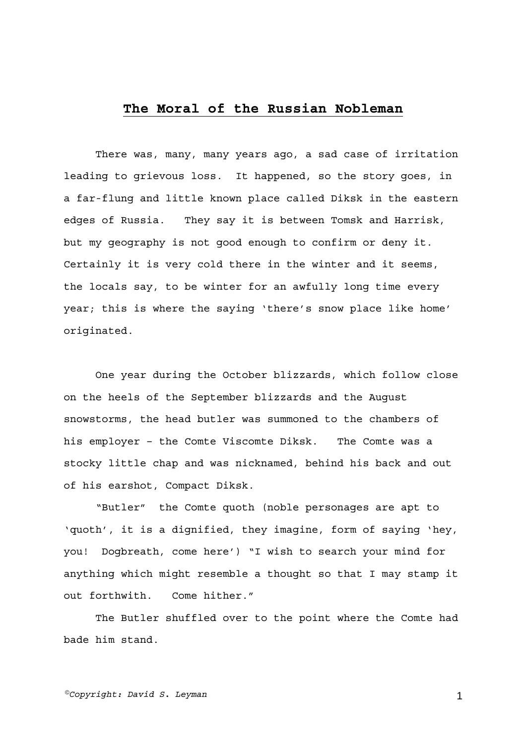## **The Moral of the Russian Nobleman**

There was, many, many years ago, a sad case of irritation leading to grievous loss. It happened, so the story goes, in a far-flung and little known place called Diksk in the eastern edges of Russia. They say it is between Tomsk and Harrisk, but my geography is not good enough to confirm or deny it. Certainly it is very cold there in the winter and it seems, the locals say, to be winter for an awfully long time every year; this is where the saying 'there's snow place like home' originated.

One year during the October blizzards, which follow close on the heels of the September blizzards and the August snowstorms, the head butler was summoned to the chambers of his employer – the Comte Viscomte Diksk. The Comte was a stocky little chap and was nicknamed, behind his back and out of his earshot, Compact Diksk.

"Butler" the Comte quoth (noble personages are apt to 'quoth', it is a dignified, they imagine, form of saying 'hey, you! Dogbreath, come here') "I wish to search your mind for anything which might resemble a thought so that I may stamp it out forthwith. Come hither."

The Butler shuffled over to the point where the Comte had bade him stand.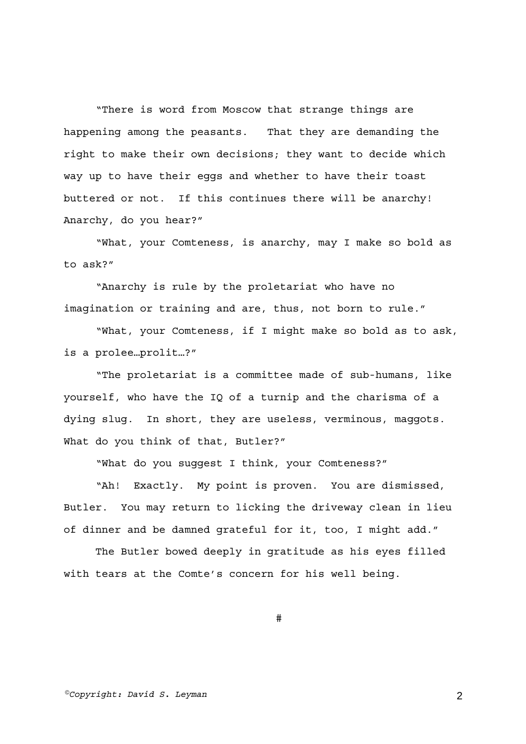"There is word from Moscow that strange things are happening among the peasants. That they are demanding the right to make their own decisions; they want to decide which way up to have their eggs and whether to have their toast buttered or not. If this continues there will be anarchy! Anarchy, do you hear?"

"What, your Comteness, is anarchy, may I make so bold as to ask?"

"Anarchy is rule by the proletariat who have no imagination or training and are, thus, not born to rule."

"What, your Comteness, if I might make so bold as to ask, is a prolee…prolit…?"

"The proletariat is a committee made of sub-humans, like yourself, who have the IQ of a turnip and the charisma of a dying slug. In short, they are useless, verminous, maggots. What do you think of that, Butler?"

"What do you suggest I think, your Comteness?"

"Ah! Exactly. My point is proven. You are dismissed, Butler. You may return to licking the driveway clean in lieu of dinner and be damned grateful for it, too, I might add."

The Butler bowed deeply in gratitude as his eyes filled with tears at the Comte's concern for his well being.

#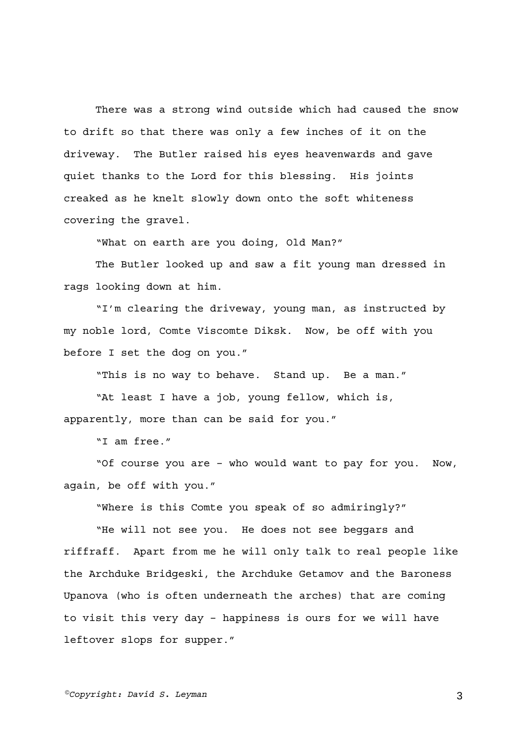There was a strong wind outside which had caused the snow to drift so that there was only a few inches of it on the driveway. The Butler raised his eyes heavenwards and gave quiet thanks to the Lord for this blessing. His joints creaked as he knelt slowly down onto the soft whiteness covering the gravel.

"What on earth are you doing, Old Man?"

The Butler looked up and saw a fit young man dressed in rags looking down at him.

"I'm clearing the driveway, young man, as instructed by my noble lord, Comte Viscomte Diksk. Now, be off with you before I set the dog on you."

"This is no way to behave. Stand up. Be a man."

"At least I have a job, young fellow, which is, apparently, more than can be said for you."

"I am free."

"Of course you are – who would want to pay for you. Now, again, be off with you."

"Where is this Comte you speak of so admiringly?"

"He will not see you. He does not see beggars and riffraff. Apart from me he will only talk to real people like the Archduke Bridgeski, the Archduke Getamov and the Baroness Upanova (who is often underneath the arches) that are coming to visit this very day – happiness is ours for we will have leftover slops for supper."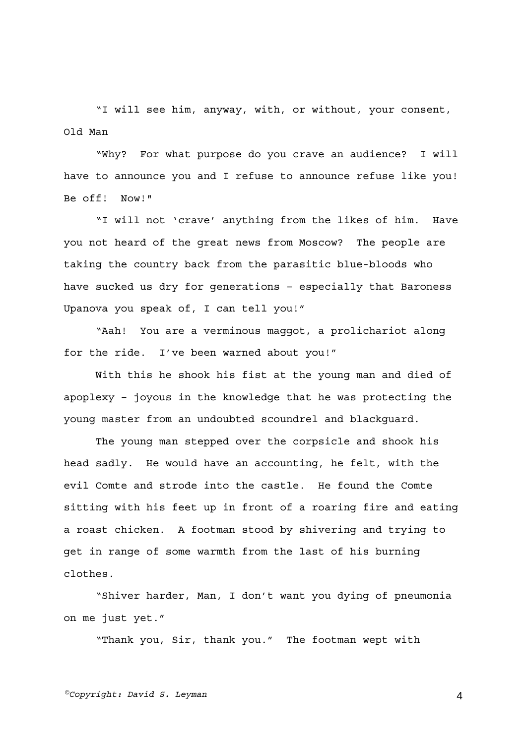"I will see him, anyway, with, or without, your consent, Old Man

"Why? For what purpose do you crave an audience? I will have to announce you and I refuse to announce refuse like you! Be off! Now!"

"I will not 'crave' anything from the likes of him. Have you not heard of the great news from Moscow? The people are taking the country back from the parasitic blue-bloods who have sucked us dry for generations – especially that Baroness Upanova you speak of, I can tell you!"

"Aah! You are a verminous maggot, a prolichariot along for the ride. I've been warned about you!"

With this he shook his fist at the young man and died of apoplexy – joyous in the knowledge that he was protecting the young master from an undoubted scoundrel and blackguard.

The young man stepped over the corpsicle and shook his head sadly. He would have an accounting, he felt, with the evil Comte and strode into the castle. He found the Comte sitting with his feet up in front of a roaring fire and eating a roast chicken. A footman stood by shivering and trying to get in range of some warmth from the last of his burning clothes.

"Shiver harder, Man, I don't want you dying of pneumonia on me just yet."

"Thank you, Sir, thank you." The footman wept with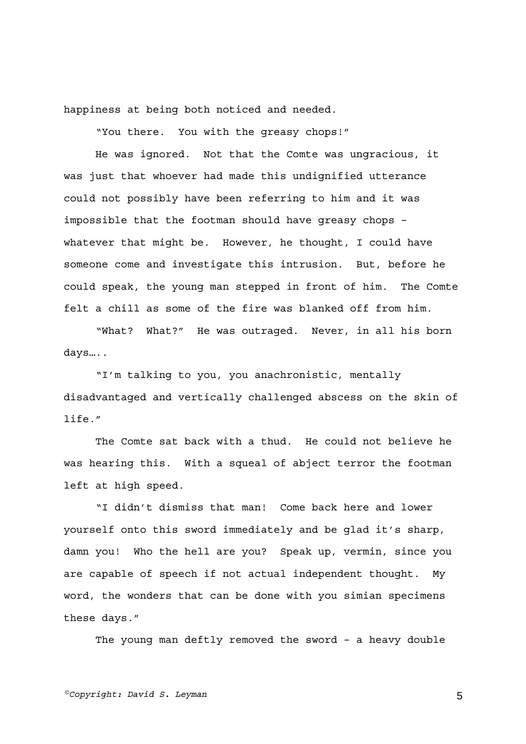happiness at being both noticed and needed.

"You there. You with the greasy chops!"

He was ignored. Not that the Comte was ungracious, it was just that whoever had made this undignified utterance could not possibly have been referring to him and it was impossible that the footman should have greasy chops – whatever that might be. However, he thought, I could have someone come and investigate this intrusion. But, before he could speak, the young man stepped in front of him. The Comte felt a chill as some of the fire was blanked off from him.

"What? What?" He was outraged. Never, in all his born days…..

"I'm talking to you, you anachronistic, mentally disadvantaged and vertically challenged abscess on the skin of life."

The Comte sat back with a thud. He could not believe he was hearing this. With a squeal of abject terror the footman left at high speed.

"I didn't dismiss that man! Come back here and lower yourself onto this sword immediately and be glad it's sharp, damn you! Who the hell are you? Speak up, vermin, since you are capable of speech if not actual independent thought. My word, the wonders that can be done with you simian specimens these days."

The young man deftly removed the sword – a heavy double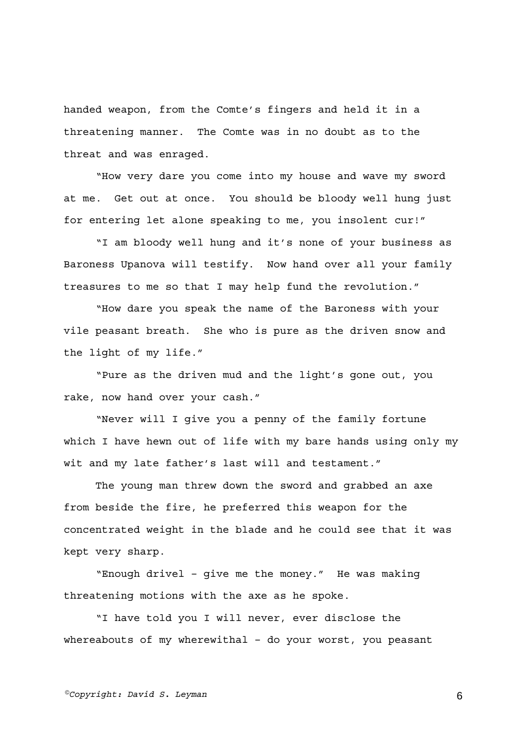handed weapon, from the Comte's fingers and held it in a threatening manner. The Comte was in no doubt as to the threat and was enraged.

"How very dare you come into my house and wave my sword at me. Get out at once. You should be bloody well hung just for entering let alone speaking to me, you insolent cur!"

"I am bloody well hung and it's none of your business as Baroness Upanova will testify. Now hand over all your family treasures to me so that I may help fund the revolution."

"How dare you speak the name of the Baroness with your vile peasant breath. She who is pure as the driven snow and the light of my life."

"Pure as the driven mud and the light's gone out, you rake, now hand over your cash."

"Never will I give you a penny of the family fortune which I have hewn out of life with my bare hands using only my wit and my late father's last will and testament."

The young man threw down the sword and grabbed an axe from beside the fire, he preferred this weapon for the concentrated weight in the blade and he could see that it was kept very sharp.

"Enough drivel – give me the money." He was making threatening motions with the axe as he spoke.

"I have told you I will never, ever disclose the whereabouts of my wherewithal – do your worst, you peasant